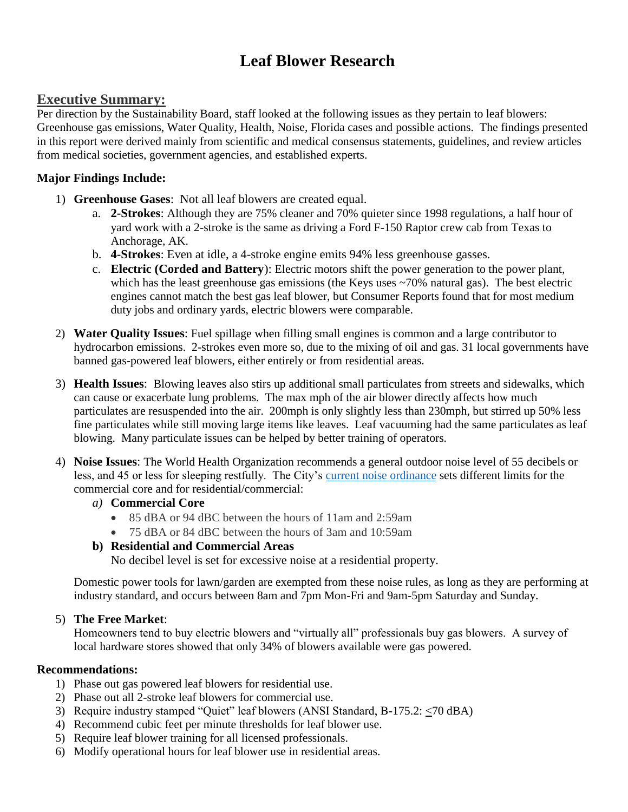# **Leaf Blower Research**

## **Executive Summary:**

Per direction by the Sustainability Board, staff looked at the following issues as they pertain to leaf blowers: Greenhouse gas emissions, Water Quality, Health, Noise, Florida cases and possible actions. The findings presented in this report were derived mainly from scientific and medical consensus statements, guidelines, and review articles from medical societies, government agencies, and established experts.

### **Major Findings Include:**

- 1) **Greenhouse Gases**: Not all leaf blowers are created equal.
	- a. **2-Strokes**: Although they are 75% cleaner and 70% quieter since 1998 regulations, a half hour of yard work with a 2-stroke is the same as driving a Ford F-150 Raptor crew cab from Texas to Anchorage, AK.
	- b. **4-Strokes**: Even at idle, a 4-stroke engine emits 94% less greenhouse gasses.
	- c. **Electric (Corded and Battery**): Electric motors shift the power generation to the power plant, which has the least greenhouse gas emissions (the Keys uses ~70% natural gas). The best electric engines cannot match the best gas leaf blower, but Consumer Reports found that for most medium duty jobs and ordinary yards, electric blowers were comparable.
- 2) **Water Quality Issues**: Fuel spillage when filling small engines is common and a large contributor to hydrocarbon emissions. 2-strokes even more so, due to the mixing of oil and gas. 31 local governments have banned gas-powered leaf blowers, either entirely or from residential areas.
- 3) **Health Issues**: Blowing leaves also stirs up additional small particulates from streets and sidewalks, which can cause or exacerbate lung problems. The max mph of the air blower directly affects how much particulates are resuspended into the air. 200mph is only slightly less than 230mph, but stirred up 50% less fine particulates while still moving large items like leaves. Leaf vacuuming had the same particulates as leaf blowing. Many particulate issues can be helped by better training of operators.
- 4) **Noise Issues**: The World Health Organization recommends a general outdoor noise level of 55 decibels or less, and 45 or less for sleeping restfully. The City's [current noise ordinance](https://www.municode.com/library/fl/key_west/codes/code_of_ordinances?nodeId=SPAGEOR_CH26EN_ARTIVSOCO_S26-192UNEXNOPR) sets different limits for the commercial core and for residential/commercial:
	- *a)* **Commercial Core**
		- 85 dBA or 94 dBC between the hours of 11am and 2:59am
		- 75 dBA or 84 dBC between the hours of 3am and 10:59am

## **b) Residential and Commercial Areas**

No decibel level is set for excessive noise at a residential property.

Domestic power tools for lawn/garden are exempted from these noise rules, as long as they are performing at industry standard, and occurs between 8am and 7pm Mon-Fri and 9am-5pm Saturday and Sunday.

## 5) **The Free Market**:

Homeowners tend to buy electric blowers and "virtually all" professionals buy gas blowers. A survey of local hardware stores showed that only 34% of blowers available were gas powered.

### **Recommendations:**

- 1) Phase out gas powered leaf blowers for residential use.
- 2) Phase out all 2-stroke leaf blowers for commercial use.
- 3) Require industry stamped "Quiet" leaf blowers (ANSI Standard, B-175.2: <70 dBA)
- 4) Recommend cubic feet per minute thresholds for leaf blower use.
- 5) Require leaf blower training for all licensed professionals.
- 6) Modify operational hours for leaf blower use in residential areas.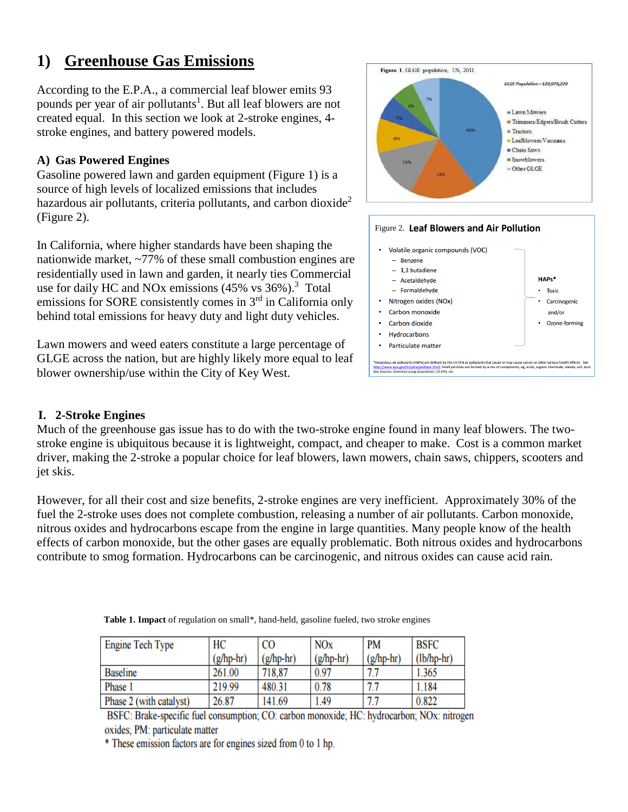# **1) Greenhouse Gas Emissions**

According to the E.P.A., a commercial leaf blower emits 93 pounds per year of air pollutants<sup>1</sup>. But all leaf blowers are not created equal. In this section we look at 2-stroke engines, 4 stroke engines, and battery powered models.

### **A) Gas Powered Engines**

Gasoline powered lawn and garden equipment (Figure 1) is a source of high levels of localized emissions that includes hazardous air pollutants, criteria pollutants, and carbon dioxide<sup>2</sup> (Figure 2).

In California, where higher standards have been shaping the nationwide market, ~77% of these small combustion engines are residentially used in lawn and garden, it nearly ties Commercial use for daily HC and NOx emissions  $(45\% \text{ vs } 36\%).$ <sup>3</sup> Total emissions for SORE consistently comes in 3rd in California only behind total emissions for heavy duty and light duty vehicles.

Lawn mowers and weed eaters constitute a large percentage of GLGE across the nation, but are highly likely more equal to leaf blower ownership/use within the City of Key West.



### **I. 2-Stroke Engines**

Much of the greenhouse gas issue has to do with the two-stroke engine found in many leaf blowers. The twostroke engine is ubiquitous because it is lightweight, compact, and cheaper to make. Cost is a common market driver, making the 2-stroke a popular choice for leaf blowers, lawn mowers, chain saws, chippers, scooters and jet skis.

However, for all their cost and size benefits, 2-stroke engines are very inefficient. Approximately 30% of the fuel the 2-stroke uses does not complete combustion, releasing a number of air pollutants. Carbon monoxide, nitrous oxides and hydrocarbons escape from the engine in large quantities. Many people know of the health effects of carbon monoxide, but the other gases are equally problematic. Both nitrous oxides and hydrocarbons contribute to smog formation. Hydrocarbons can be carcinogenic, and nitrous oxides can cause acid rain.

| <b>Engine Tech Type</b> | HC          | <b>CO</b>   | <b>NOx</b>  | <b>PM</b>   | <b>BSFC</b>  |
|-------------------------|-------------|-------------|-------------|-------------|--------------|
|                         | $(g/hp-hr)$ | $(g/hp-hr)$ | $(g/hp-hr)$ | $(g/hp-hr)$ | $(lb/hp-hr)$ |
| <b>Baseline</b>         | 261.00      | 718,87      | 0.97        |             | 1.365        |
| Phase 1                 | 219.99      | 480.31      | 0.78        |             | 1.184        |
| Phase 2 (with catalyst) | 26.87       | 141.69      | 1.49        |             | 0.822        |

**Table 1. Impact** of regulation on small\*, hand-held, gasoline fueled, two stroke engines

BSFC: Brake-specific fuel consumption; CO: carbon monoxide; HC: hydrocarbon; NOx: nitrogen oxides; PM: particulate matter

\* These emission factors are for engines sized from 0 to 1 hp.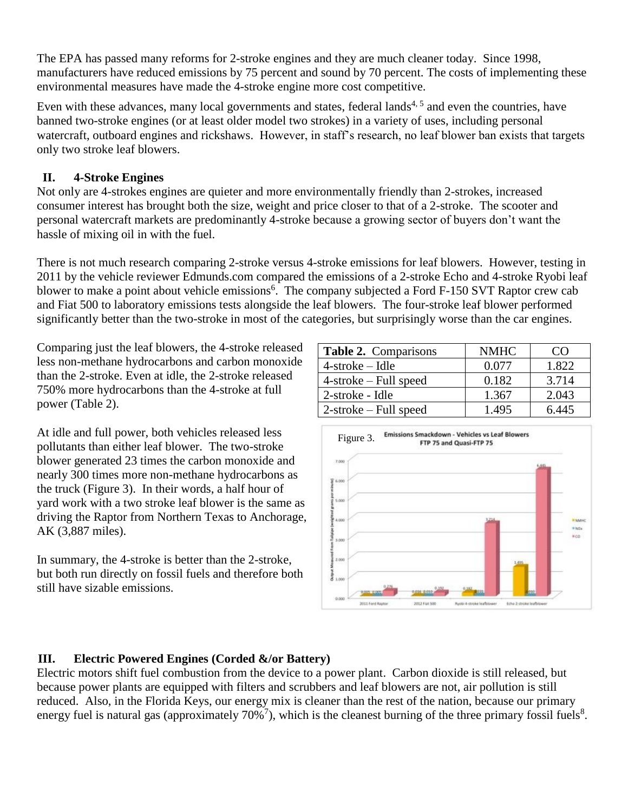The EPA has passed many reforms for 2-stroke engines and they are much cleaner today. Since 1998, manufacturers have reduced emissions by 75 percent and sound by 70 percent. The costs of implementing these environmental measures have made the 4-stroke engine more cost competitive.

Even with these advances, many local governments and states, federal lands<sup>4, 5</sup> and even the countries, have banned two-stroke engines (or at least older model two strokes) in a variety of uses, including personal watercraft, outboard engines and rickshaws. However, in staff's research, no leaf blower ban exists that targets only two stroke leaf blowers.

## **II. 4-Stroke Engines**

Not only are 4-strokes engines are quieter and more environmentally friendly than 2-strokes, increased consumer interest has brought both the size, weight and price closer to that of a 2-stroke. The scooter and personal watercraft markets are predominantly 4-stroke because a growing sector of buyers don't want the hassle of mixing oil in with the fuel.

There is not much research comparing 2-stroke versus 4-stroke emissions for leaf blowers. However, testing in 2011 by the vehicle reviewer Edmunds.com compared the emissions of a 2-stroke Echo and 4-stroke Ryobi leaf blower to make a point about vehicle emissions<sup>6</sup>. The company subjected a Ford F-150 SVT Raptor crew cab and Fiat 500 to laboratory emissions tests alongside the leaf blowers. The four-stroke leaf blower performed significantly better than the two-stroke in most of the categories, but surprisingly worse than the car engines.

Comparing just the leaf blowers, the 4-stroke released less non-methane hydrocarbons and carbon monoxide than the 2-stroke. Even at idle, the 2-stroke released 750% more hydrocarbons than the 4-stroke at full power (Table 2).

At idle and full power, both vehicles released less pollutants than either leaf blower. The two-stroke blower generated 23 times the carbon monoxide and nearly 300 times more non-methane hydrocarbons as the truck (Figure 3). In their words, a half hour of yard work with a two stroke leaf blower is the same as driving the Raptor from Northern Texas to Anchorage, AK (3,887 miles).

In summary, the 4-stroke is better than the 2-stroke, but both run directly on fossil fuels and therefore both still have sizable emissions.

| <b>Table 2.</b> Comparisons | <b>NMHC</b> | ( `( ) |
|-----------------------------|-------------|--------|
| $4$ -stroke – Idle          | 0.077       | 1.822  |
| $4$ -stroke – Full speed    | 0.182       | 3.714  |
| 2-stroke - Idle             | 1.367       | 2.043  |
| $2$ -stroke – Full speed    | 1.495       | 6.445  |



## **III. Electric Powered Engines (Corded &/or Battery)**

Electric motors shift fuel combustion from the device to a power plant. Carbon dioxide is still released, but because power plants are equipped with filters and scrubbers and leaf blowers are not, air pollution is still reduced. Also, in the Florida Keys, our energy mix is cleaner than the rest of the nation, because our primary energy fuel is natural gas (approximately  $70\%$ <sup>7</sup>), which is the cleanest burning of the three primary fossil fuels<sup>8</sup>.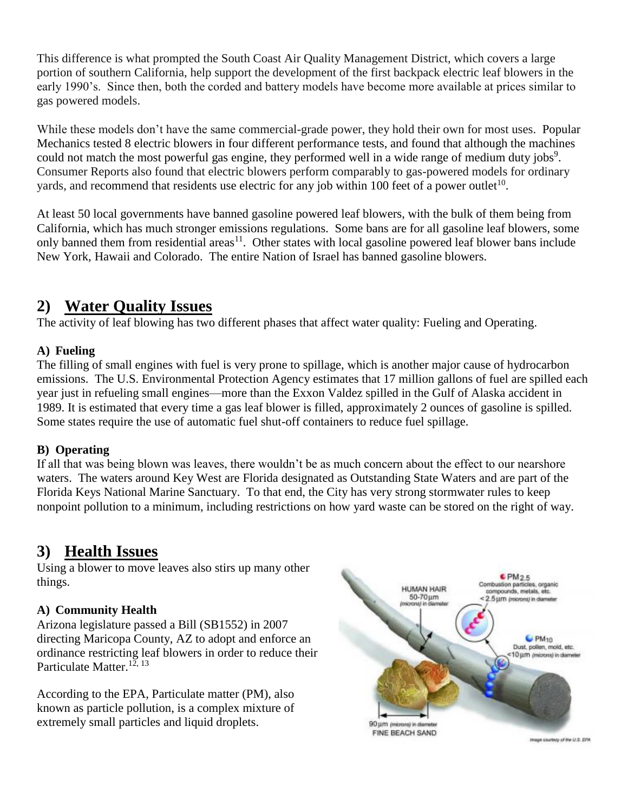This difference is what prompted the South Coast Air Quality Management District, which covers a large portion of southern California, help support the development of the first backpack electric leaf blowers in the early 1990's. Since then, both the corded and battery models have become more available at prices similar to gas powered models.

While these models don't have the same commercial-grade power, they hold their own for most uses. Popular Mechanics tested 8 electric blowers in four different performance tests, and found that although the machines could not match the most powerful gas engine, they performed well in a wide range of medium duty jobs<sup>9</sup>. Consumer Reports also found that electric blowers perform comparably to gas-powered models for ordinary yards, and recommend that residents use electric for any job within 100 feet of a power outlet<sup>10</sup>.

At least 50 local governments have banned gasoline powered leaf blowers, with the bulk of them being from California, which has much stronger emissions regulations. Some bans are for all gasoline leaf blowers, some only banned them from residential areas<sup>11</sup>. Other states with local gasoline powered leaf blower bans include New York, Hawaii and Colorado. The entire Nation of Israel has banned gasoline blowers.

## **2) Water Quality Issues**

The activity of leaf blowing has two different phases that affect water quality: Fueling and Operating.

## **A) Fueling**

The filling of small engines with fuel is very prone to spillage, which is another major cause of hydrocarbon emissions. The U.S. Environmental Protection Agency estimates that 17 million gallons of fuel are spilled each year just in refueling small engines—more than the Exxon Valdez spilled in the Gulf of Alaska accident in 1989. It is estimated that every time a gas leaf blower is filled, approximately 2 ounces of gasoline is spilled. Some states require the use of automatic fuel shut-off containers to reduce fuel spillage.

### **B) Operating**

If all that was being blown was leaves, there wouldn't be as much concern about the effect to our nearshore waters. The waters around Key West are Florida designated as Outstanding State Waters and are part of the Florida Keys National Marine Sanctuary. To that end, the City has very strong stormwater rules to keep nonpoint pollution to a minimum, including restrictions on how yard waste can be stored on the right of way.

## **3) Health Issues**

Using a blower to move leaves also stirs up many other things.

### **A) Community Health**

Arizona legislature passed a Bill (SB1552) in 2007 directing Maricopa County, AZ to adopt and enforce an ordinance restricting leaf blowers in order to reduce their Particulate Matter.<sup>12, 13</sup>

According to the EPA, Particulate matter (PM), also known as particle pollution, is a complex mixture of extremely small particles and liquid droplets.



Image courtesy of the U.S. EFR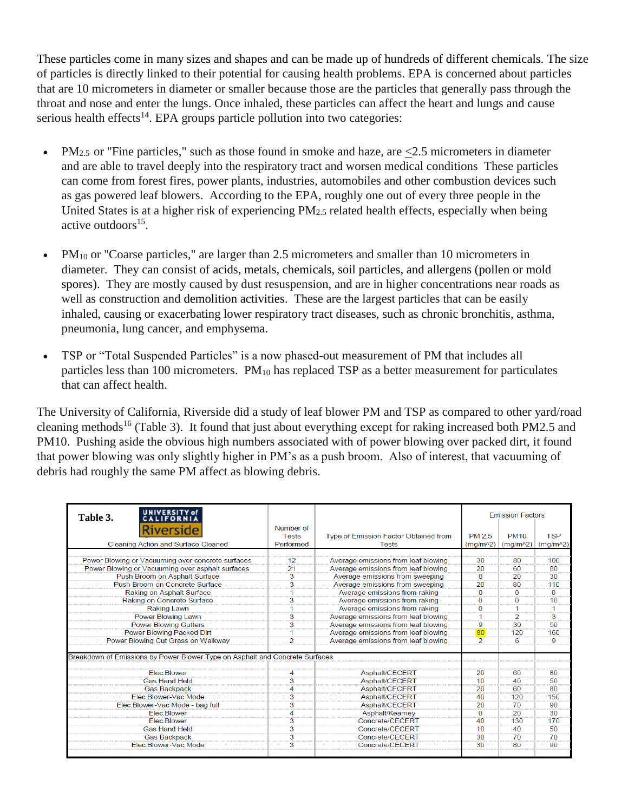These particles come in many sizes and shapes and can be made up of hundreds of different chemicals. The size of particles is directly linked to their potential for causing health problems. EPA is concerned about particles that are 10 micrometers in diameter or smaller because those are the particles that generally pass through the throat and nose and enter the lungs. Once inhaled, these particles can affect the heart and lungs and cause serious health effects<sup>14</sup>. EPA groups particle pollution into two categories:

- PM<sub>2.5</sub> or "Fine particles," such as those found in smoke and haze, are  $\leq$ 2.5 micrometers in diameter and are able to travel deeply into the respiratory tract and worsen medical conditions These particles can come from forest fires, power plants, industries, automobiles and other combustion devices such as gas powered leaf blowers. According to the EPA, roughly one out of every three people in the United States is at a higher risk of experiencing PM2.5 related health effects, especially when being active outdoors<sup>15</sup>.
- PM $_{10}$  or "Coarse particles," are larger than 2.5 micrometers and smaller than 10 micrometers in diameter. They can consist of acids, metals, chemicals, soil particles, and allergens (pollen or mold spores). They are mostly caused by dust resuspension, and are in higher concentrations near roads as well as construction and demolition activities. These are the largest particles that can be easily inhaled, causing or exacerbating lower respiratory tract diseases, such as chronic bronchitis, asthma, pneumonia, lung cancer, and emphysema.
- TSP or "Total Suspended Particles" is a now phased-out measurement of PM that includes all particles less than 100 micrometers. PM<sup>10</sup> has replaced TSP as a better measurement for particulates that can affect health.

The University of California, Riverside did a study of leaf blower PM and TSP as compared to other yard/road cleaning methods<sup>16</sup> (Table 3). It found that just about everything except for raking increased both PM2.5 and PM10. Pushing aside the obvious high numbers associated with of power blowing over packed dirt, it found that power blowing was only slightly higher in PM's as a push broom. Also of interest, that vacuuming of debris had roughly the same PM affect as blowing debris.

| UNIVERSITY of<br>Table 3.                                                    |                         |                                       |                | <b>Emission Factors</b> |            |
|------------------------------------------------------------------------------|-------------------------|---------------------------------------|----------------|-------------------------|------------|
| Riverside                                                                    | Number of               |                                       | <b>PM 2.5</b>  | <b>PM10</b>             | <b>TSP</b> |
|                                                                              | <b>Tests</b>            | Type of Emission Factor Obtained from |                |                         |            |
| Cleaning Action and Surface Cleaned                                          | Performed               | <b>Tests</b>                          | $(mq/m^2)$     | $(mg/m^2)$              | $(mg/m^2)$ |
| Power Blowing or Vacuuming over concrete surfaces                            | 12                      | Average emissions from leaf blowing   | 30             | 80                      | 100        |
| Power Blowing or Vacuuming over asphalt surfaces                             | 21                      | Average emissions from leaf blowing   | 20             | 60                      | 80         |
| Push Broom on Asphalt Surface                                                | $\overline{3}$          | Average emissions from sweeping       | $\bf{0}$       | 20                      | 30         |
| Push Broom on Concrete Surface                                               | 3                       | Average emissions from sweeping       | 20             | 80                      | 110        |
| Raking on Asphalt Surface                                                    |                         | Average emissions from raking         | $\Omega$       | n                       | 0          |
| Raking on Concrete Surface                                                   | 3                       | Average emissions from raking         | $\Omega$       | O                       | 10         |
| <b>Raking Lawn</b>                                                           |                         | Average emissions from raking         | 0              |                         |            |
| Power Blowing Lawn                                                           | 3                       | Average emissions from leaf blowing   |                | $\overline{2}$          | 3          |
|                                                                              |                         |                                       | 9              | 30                      | 50         |
| <b>Power Blowing Gutters</b>                                                 | 3                       | Average emissions from leaf blowing   | 80             |                         |            |
| Power Blowing Packed Dirt                                                    |                         | Average emissions from leaf blowing   |                | 120                     | 160        |
| Power Blowing Cut Grass on Walkway                                           | $\overline{2}$          | Average emissions from leaf blowing   | $\overline{2}$ | 6                       | 9          |
| Breakdown of Emissions by Power Blower Type on Asphalt and Concrete Surfaces |                         |                                       |                |                         |            |
| <b>Flec Blower</b>                                                           | 4                       | Asphalt/CECERT                        | 20             | 60                      | 80         |
| <b>Gas Hand Held</b>                                                         | 3                       | Asphalt/CECERT                        | 10             | 40                      | 50         |
| <b>Gas Backpack</b>                                                          |                         | Asphalt/CECERT                        | 20             | 60                      | 80         |
| Elec Blower-Vac Mode                                                         | $\overline{\mathbf{3}}$ | Asphalt/CECERT                        | 40             | 120                     | 150        |
| Elec.Blower-Vac Mode - bag full                                              | 3                       | Asphalt/CECERT                        | 20             | 70                      | 90         |
| <b>Flec Blower</b>                                                           |                         | Asphalt/Kearney                       | $\Omega$       | 20                      | 30         |
| Elec.Blower                                                                  | 3                       | Concrete/CECERT                       | 40             | 130                     | 170        |
| <b>Gas Hand Held</b>                                                         | 3                       | Concrete/CECERT                       | 10             | 40                      | 50         |
| <b>Gas Backpack</b>                                                          | 3                       | Concrete/CECERT                       | 30             | 70                      | 70         |
| Elec Blower-Vac Mode                                                         | <br>3                   | Concrete/CECERT                       | 30             | 80                      | 90         |
|                                                                              |                         |                                       |                |                         |            |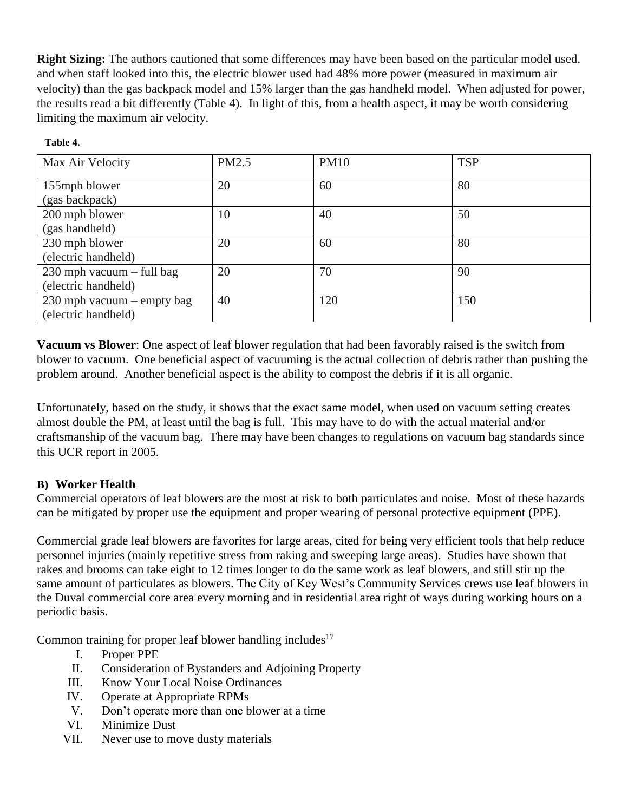**Right Sizing:** The authors cautioned that some differences may have been based on the particular model used, and when staff looked into this, the electric blower used had 48% more power (measured in maximum air velocity) than the gas backpack model and 15% larger than the gas handheld model. When adjusted for power, the results read a bit differently (Table 4). In light of this, from a health aspect, it may be worth considering limiting the maximum air velocity.

**Table 4.**

| Max Air Velocity                                  | PM2.5 | <b>PM10</b> | <b>TSP</b> |
|---------------------------------------------------|-------|-------------|------------|
| 155mph blower<br>(gas backpack)                   | 20    | 60          | 80         |
| 200 mph blower<br>(gas handheld)                  | 10    | 40          | 50         |
| 230 mph blower<br>(electric handheld)             | 20    | 60          | 80         |
| 230 mph vacuum – full bag<br>(electric handheld)  | 20    | 70          | 90         |
| 230 mph vacuum – empty bag<br>(electric handheld) | 40    | 120         | 150        |

**Vacuum vs Blower**: One aspect of leaf blower regulation that had been favorably raised is the switch from blower to vacuum. One beneficial aspect of vacuuming is the actual collection of debris rather than pushing the problem around. Another beneficial aspect is the ability to compost the debris if it is all organic.

Unfortunately, based on the study, it shows that the exact same model, when used on vacuum setting creates almost double the PM, at least until the bag is full. This may have to do with the actual material and/or craftsmanship of the vacuum bag. There may have been changes to regulations on vacuum bag standards since this UCR report in 2005.

## **B) Worker Health**

Commercial operators of leaf blowers are the most at risk to both particulates and noise. Most of these hazards can be mitigated by proper use the equipment and proper wearing of personal protective equipment (PPE).

Commercial grade leaf blowers are favorites for large areas, cited for being very efficient tools that help reduce personnel injuries (mainly repetitive stress from raking and sweeping large areas). Studies have shown that rakes and brooms can take eight to 12 times longer to do the same work as leaf blowers, and still stir up the same amount of particulates as blowers. The City of Key West's Community Services crews use leaf blowers in the Duval commercial core area every morning and in residential area right of ways during working hours on a periodic basis.

Common training for proper leaf blower handling includes<sup>17</sup>

- I. Proper PPE
- II. Consideration of Bystanders and Adjoining Property
- III. Know Your Local Noise Ordinances
- IV. Operate at Appropriate RPMs
- V. Don't operate more than one blower at a time
- VI. Minimize Dust
- VII. Never use to move dusty materials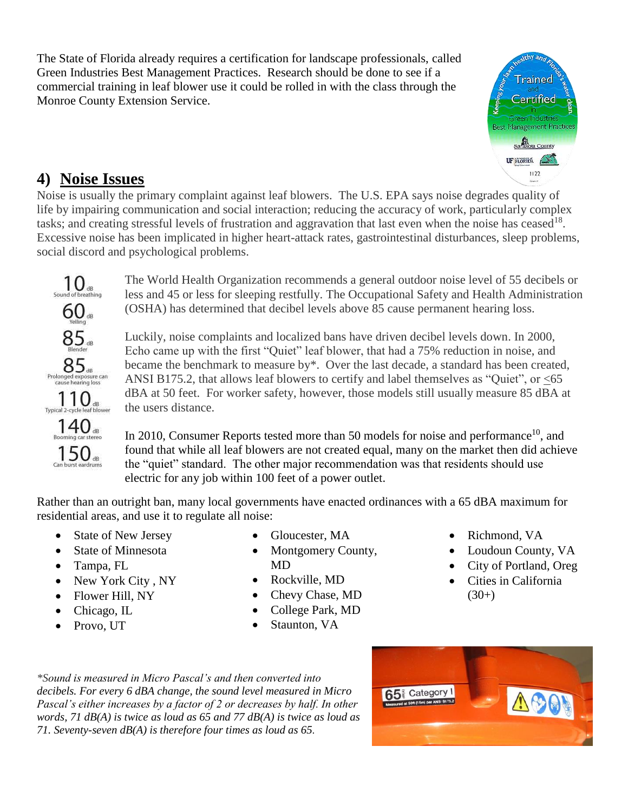The State of Florida already requires a certification for landscape professionals, called Green Industries Best Management Practices. Research should be done to see if a commercial training in leaf blower use it could be rolled in with the class through the Monroe County Extension Service.



## **4) Noise Issues**

Noise is usually the primary complaint against leaf blowers. The U.S. EPA says noise degrades quality of life by impairing communication and social interaction; reducing the accuracy of work, particularly complex tasks; and creating stressful levels of frustration and aggravation that last even when the noise has ceased<sup>18</sup>. Excessive noise has been implicated in higher heart-attack rates, gastrointestinal disturbances, sleep problems, social discord and psychological problems.



The World Health Organization recommends a general outdoor noise level of 55 decibels or less and 45 or less for sleeping restfully. The Occupational Safety and Health Administration (OSHA) has determined that decibel levels above 85 cause permanent hearing loss.

Luckily, noise complaints and localized bans have driven decibel levels down. In 2000, Echo came up with the first "Quiet" leaf blower, that had a 75% reduction in noise, and became the benchmark to measure by\*. Over the last decade, a standard has been created, ANSI B175.2, that allows leaf blowers to certify and label themselves as "Quiet", or <65 dBA at 50 feet. For worker safety, however, those models still usually measure 85 dBA at the users distance.

In 2010, Consumer Reports tested more than 50 models for noise and performance<sup>10</sup>, and found that while all leaf blowers are not created equal, many on the market then did achieve the "quiet" standard. The other major recommendation was that residents should use electric for any job within 100 feet of a power outlet.

Rather than an outright ban, many local governments have enacted ordinances with a 65 dBA maximum for residential areas, and use it to regulate all noise:

- State of New Jersey
- State of Minnesota
- Tampa, FL
- New York City , NY
- Flower Hill, NY
- Chicago, IL
- Provo, UT
- Gloucester, MA
- Montgomery County, MD
- Rockville, MD
- Chevy Chase, MD
- College Park, MD
- Staunton, VA
- Richmond, VA
- Loudoun County, VA
- City of Portland, Oreg
- Cities in California  $(30+)$

*\*Sound is measured in Micro Pascal's and then converted into decibels. For every 6 dBA change, the sound level measured in Micro Pascal's either increases by a factor of 2 or decreases by half. In other words, 71 dB(A) is twice as loud as 65 and 77 dB(A) is twice as loud as 71. Seventy-seven dB(A) is therefore four times as loud as 65.*